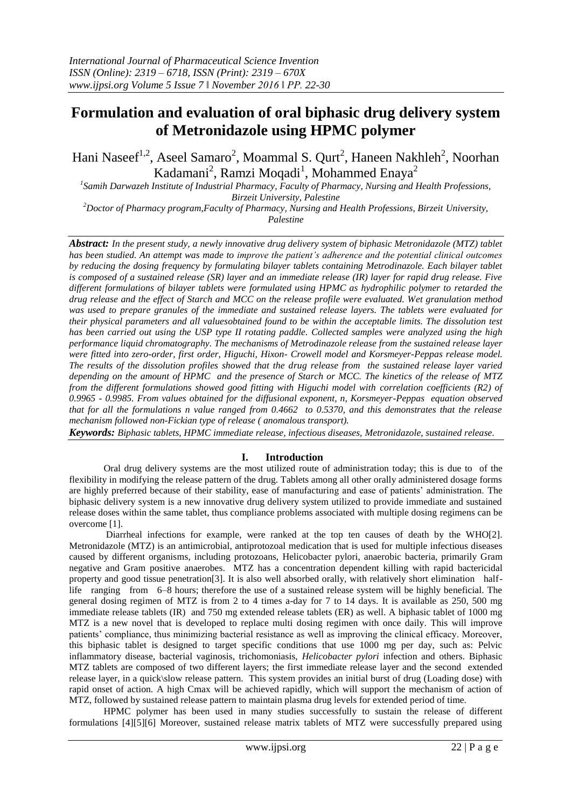# **Formulation and evaluation of oral biphasic drug delivery system of Metronidazole using HPMC polymer**

Hani Naseef<sup>1,2</sup>, Aseel Samaro<sup>2</sup>, Moammal S. Qurt<sup>2</sup>, Haneen Nakhleh<sup>2</sup>, Noorhan Kadamani<sup>2</sup>, Ramzi Moqadi<sup>1</sup>, Mohammed Enaya<sup>2</sup>

*1 Samih Darwazeh Institute of Industrial Pharmacy, Faculty of Pharmacy, Nursing and Health Professions, Birzeit University, Palestine*

*<sup>2</sup>Doctor of Pharmacy program,Faculty of Pharmacy, Nursing and Health Professions, Birzeit University, Palestine*

*Abstract: In the present study, a newly innovative drug delivery system of biphasic Metronidazole (MTZ) tablet has been studied. An attempt was made to improve the patient's adherence and the potential clinical outcomes by reducing the dosing frequency by formulating bilayer tablets containing Metrodinazole. Each bilayer tablet is composed of a sustained release (SR) layer and an immediate release (IR) layer for rapid drug release. Five different formulations of bilayer tablets were formulated using HPMC as hydrophilic polymer to retarded the drug release and the effect of Starch and MCC on the release profile were evaluated. Wet granulation method was used to prepare granules of the immediate and sustained release layers. The tablets were evaluated for their physical parameters and all valuesobtained found to be within the acceptable limits. The dissolution test has been carried out using the USP type II rotating paddle. Collected samples were analyzed using the high performance liquid chromatography. The mechanisms of Metrodinazole release from the sustained release layer were fitted into zero-order, first order, Higuchi, Hixon- Crowell model and Korsmeyer-Peppas release model. The results of the dissolution profiles showed that the drug release from the sustained release layer varied depending on the amount of HPMC and the presence of Starch or MCC. The kinetics of the release of MTZ from the different formulations showed good fitting with Higuchi model with correlation coefficients (R2) of 0.9965 - 0.9985. From values obtained for the diffusional exponent, n, Korsmeyer-Peppas equation observed that for all the formulations n value ranged from 0.4662 to 0.5370, and this demonstrates that the release mechanism followed non-Fickian type of release ( anomalous transport).*

*Keywords: Biphasic tablets, HPMC immediate release, infectious diseases, Metronidazole, sustained release.*

# **I. Introduction**

Oral drug delivery systems are the most utilized route of administration today; this is due to of the flexibility in modifying the release pattern of the drug. Tablets among all other orally administered dosage forms are highly preferred because of their stability, ease of manufacturing and ease of patients' administration. The biphasic delivery system is a new innovative drug delivery system utilized to provide immediate and sustained release doses within the same tablet, thus compliance problems associated with multiple dosing regimens can be overcome [1].

Diarrheal infections for example, were ranked at the top ten causes of death by the WHO[2]. Metronidazole (MTZ) is an antimicrobial, antiprotozoal medication that is used for multiple infectious diseases caused by different organisms, including protozoans, Helicobacter pylori, anaerobic bacteria, primarily Gram negative and Gram positive anaerobes. MTZ has a concentration dependent killing with rapid bactericidal property and good tissue penetration[3]. It is also well absorbed orally, with relatively short elimination halflife ranging from 6–8 hours; therefore the use of a sustained release system will be highly beneficial. The general dosing regimen of MTZ is from 2 to 4 times a-day for 7 to 14 days. It is available as 250, 500 mg immediate release tablets (IR) and 750 mg extended release tablets (ER) as well. A biphasic tablet of 1000 mg MTZ is a new novel that is developed to replace multi dosing regimen with once daily. This will improve patients' compliance, thus minimizing bacterial resistance as well as improving the clinical efficacy. Moreover, this biphasic tablet is designed to target specific conditions that use 1000 mg per day, such as: Pelvic inflammatory disease, bacterial vaginosis, trichomoniasis, *Helicobacter pylori* infection and others. Biphasic MTZ tablets are composed of two different layers; the first immediate release layer and the second extended release layer, in a quick\slow release pattern. This system provides an initial burst of drug (Loading dose) with rapid onset of action. A high Cmax will be achieved rapidly, which will support the mechanism of action of MTZ, followed by sustained release pattern to maintain plasma drug levels for extended period of time.

HPMC polymer has been used in many studies successfully to sustain the release of different formulations [4][5][6] Moreover, sustained release matrix tablets of MTZ were successfully prepared using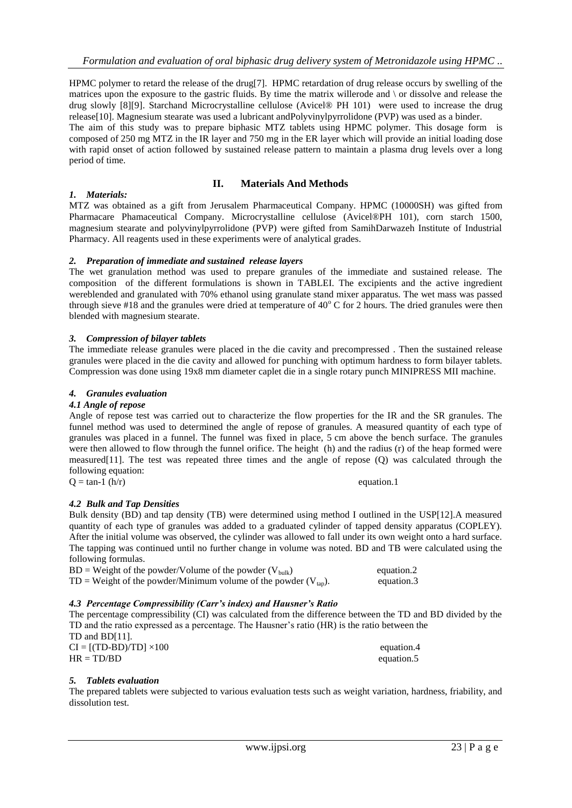HPMC polymer to retard the release of the drug[7]. HPMC retardation of drug release occurs by swelling of the matrices upon the exposure to the gastric fluids. By time the matrix willerode and  $\circ$  or dissolve and release the drug slowly [8][9]. Starchand Microcrystalline cellulose (Avicel® PH 101) were used to increase the drug release[10]. Magnesium stearate was used a lubricant andPolyvinylpyrrolidone (PVP) was used as a binder. The aim of this study was to prepare biphasic MTZ tablets using HPMC polymer. This dosage form is

composed of 250 mg MTZ in the IR layer and 750 mg in the ER layer which will provide an initial loading dose with rapid onset of action followed by sustained release pattern to maintain a plasma drug levels over a long period of time.

# **II. Materials And Methods**

#### *1. Materials:* MTZ was obtained as a gift from Jerusalem Pharmaceutical Company. HPMC (10000SH) was gifted from Pharmacare Phamaceutical Company. Microcrystalline cellulose (Avicel®PH 101), corn starch 1500, magnesium stearate and polyvinylpyrrolidone (PVP) were gifted from SamihDarwazeh Institute of Industrial Pharmacy. All reagents used in these experiments were of analytical grades.

#### *2. Preparation of immediate and sustained release layers*

The wet granulation method was used to prepare granules of the immediate and sustained release. The composition of the different formulations is shown in TABLEI. The excipients and the active ingredient wereblended and granulated with 70% ethanol using granulate stand mixer apparatus. The wet mass was passed through sieve #18 and the granules were dried at temperature of  $40^{\circ}$  C for 2 hours. The dried granules were then blended with magnesium stearate.

# *3. Compression of bilayer tablets*

The immediate release granules were placed in the die cavity and precompressed . Then the sustained release granules were placed in the die cavity and allowed for punching with optimum hardness to form bilayer tablets. Compression was done using 19x8 mm diameter caplet die in a single rotary punch MINIPRESS MII machine.

# *4. Granules evaluation*

#### *4.1 Angle of repose*

Angle of repose test was carried out to characterize the flow properties for the IR and the SR granules. The funnel method was used to determined the angle of repose of granules. A measured quantity of each type of granules was placed in a funnel. The funnel was fixed in place, 5 cm above the bench surface. The granules were then allowed to flow through the funnel orifice. The height (h) and the radius (r) of the heap formed were measured[11]. The test was repeated three times and the angle of repose (Q) was calculated through the following equation:  $Q = \tan^{-1} (\frac{h}{r})$  equation.1

# *4.2 Bulk and Tap Densities*

Bulk density (BD) and tap density (TB) were determined using method I outlined in the USP[12].A measured quantity of each type of granules was added to a graduated cylinder of tapped density apparatus (COPLEY). After the initial volume was observed, the cylinder was allowed to fall under its own weight onto a hard surface. The tapping was continued until no further change in volume was noted. BD and TB were calculated using the following formulas.

| $BD = Weight of the powder/Volume of the powder (V_{bulk})$          | equation.2 |
|----------------------------------------------------------------------|------------|
| TD = Weight of the powder/Minimum volume of the powder $(V_{tan})$ . | equation.3 |

# *4.3 Percentage Compressibility (Carr's index) and Hausner's Ratio*

The percentage compressibility (CI) was calculated from the difference between the TD and BD divided by the TD and the ratio expressed as a percentage. The Hausner's ratio (HR) is the ratio between the TD and BD[11].  $CI = [(TD-BD)/TD] \times 100$  equation.4  $HR = TD/BD$  equation.5

#### *5. Tablets evaluation*

The prepared tablets were subjected to various evaluation tests such as weight variation, hardness, friability, and dissolution test.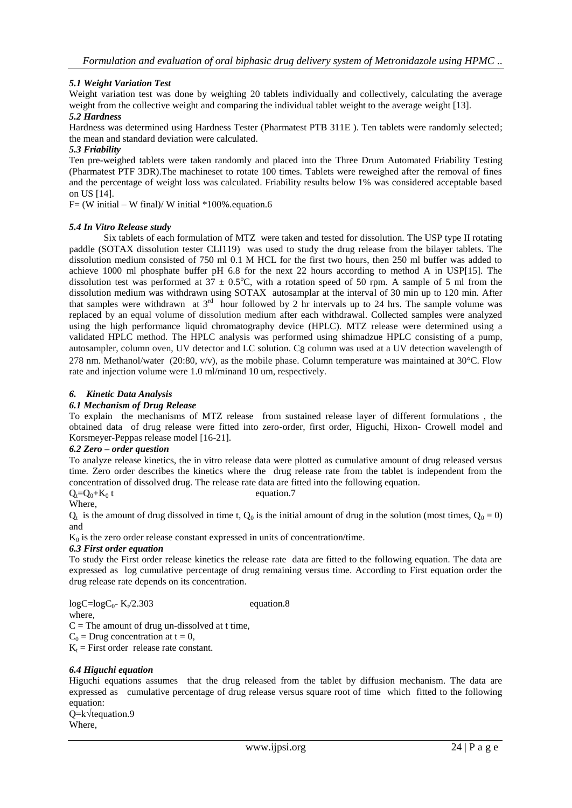# *5.1 Weight Variation Test*

Weight variation test was done by weighing 20 tablets individually and collectively, calculating the average weight from the collective weight and comparing the individual tablet weight to the average weight [13].

# *5.2 Hardness*

Hardness was determined using Hardness Tester (Pharmatest PTB 311E ). Ten tablets were randomly selected; the mean and standard deviation were calculated.

# *5.3 Friability*

Ten pre-weighed tablets were taken randomly and placed into the Three Drum Automated Friability Testing (Pharmatest PTF 3DR).The machineset to rotate 100 times. Tablets were reweighed after the removal of fines and the percentage of weight loss was calculated. Friability results below 1% was considered acceptable based on US [14].

 $F=(W \text{ initial} - W \text{ final})/W \text{ initial *100\%}.$  equation.6

# *5.4 In Vitro Release study*

Six tablets of each formulation of MTZ were taken and tested for dissolution. The USP type II rotating paddle (SOTAX dissolution tester CLI119) was used to study the drug release from the bilayer tablets. The dissolution medium consisted of 750 ml 0.1 M HCL for the first two hours, then 250 ml buffer was added to achieve 1000 ml phosphate buffer pH 6.8 for the next 22 hours according to method A in USP[15]. The dissolution test was performed at  $37 \pm 0.5^{\circ}$ C, with a rotation speed of 50 rpm. A sample of 5 ml from the dissolution medium was withdrawn using SOTAX autosamplar at the interval of 30 min up to 120 min. After that samples were withdrawn at  $3<sup>rd</sup>$  hour followed by 2 hr intervals up to 24 hrs. The sample volume was replaced by an equal volume of dissolution medium after each withdrawal. Collected samples were analyzed using the high performance liquid chromatography device (HPLC). MTZ release were determined using a validated HPLC method. The HPLC analysis was performed using shimadzue HPLC consisting of a pump, autosampler, column oven, UV detector and LC solution. C8 column was used at a UV detection wavelength of

278 nm. Methanol/water (20:80, v/v), as the mobile phase. Column temperature was maintained at  $30^{\circ}$ C. Flow rate and injection volume were 1.0 ml/minand 10 um, respectively.

# *6. Kinetic Data Analysis*

# *6.1 Mechanism of Drug Release*

To explain the mechanisms of MTZ release from sustained release layer of different formulations , the obtained data of drug release were fitted into zero-order, first order, Higuchi, Hixon- Crowell model and Korsmeyer-Peppas release model [16-21].

#### *6.2 Zero – order question*

To analyze release kinetics, the in vitro release data were plotted as cumulative amount of drug released versus time. Zero order describes the kinetics where the drug release rate from the tablet is independent from the concentration of dissolved drug. The release rate data are fitted into the following equation. t equation.7

$$
Q_t = Q_0 + K_0
$$

Where,

 $Q_t$  is the amount of drug dissolved in time t,  $Q_0$  is the initial amount of drug in the solution (most times,  $Q_0 = 0$ ) and

 $K_0$  is the zero order release constant expressed in units of concentration/time.

#### *6.3 First order equation*

To study the First order release kinetics the release rate data are fitted to the following equation. The data are expressed as log cumulative percentage of drug remaining versus time. According to First equation order the drug release rate depends on its concentration.

 $logC = logC_0 - K_t/2.303$ equation.8 where,  $C =$  The amount of drug un-dissolved at t time,  $C_0$  = Drug concentration at t = 0,

 $K_t$  = First order release rate constant.

# *6.4 Higuchi equation*

Higuchi equations assumes that the drug released from the tablet by diffusion mechanism. The data are expressed as cumulative percentage of drug release versus square root of time which fitted to the following equation:

Q=k√tequation.9 Where,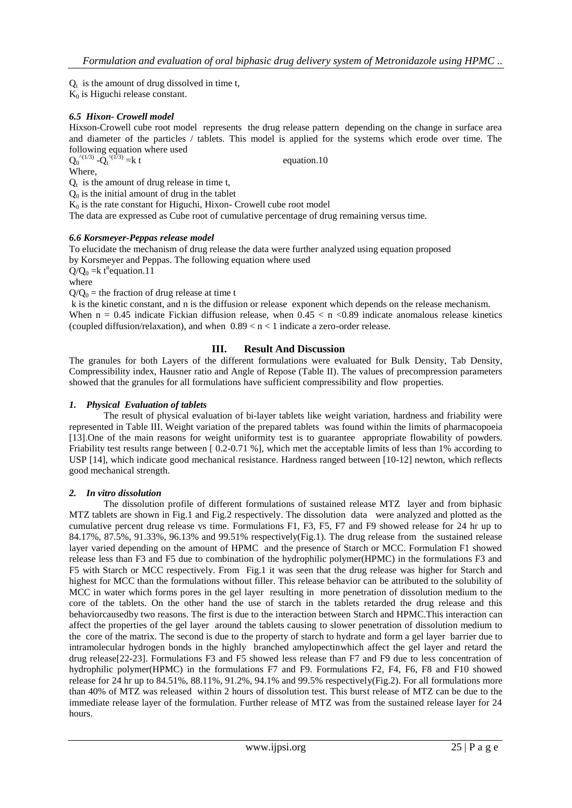$Q_t$  is the amount of drug dissolved in time t,

 $K_0$  is Higuchi release constant.

# *6.5 Hixon- Crowell model*

Hixson-Crowell cube root model represents the drug release pattern depending on the change in surface area and diameter of the particles / tablets. This model is applied for the systems which erode over time. The following equation where used

equation.10

 $Q_0^{(1/3)}$  - $Q_t$ 

Where,

 $Q_t$  is the amount of drug release in time t,  $Q<sub>0</sub>$  is the initial amount of drug in the tablet

 $K<sub>0</sub>$  is the rate constant for Higuchi, Hixon- Crowell cube root model

The data are expressed as Cube root of cumulative percentage of drug remaining versus time.

# *6.6 Korsmeyer-Peppas release model*

To elucidate the mechanism of drug release the data were further analyzed using equation proposed by Korsmeyer and Peppas. The following equation where used

 $Q/Q_0 = k t^n$  equation. 11

where

 $Q/Q_0$  = the fraction of drug release at time t

k is the kinetic constant, and n is the diffusion or release exponent which depends on the release mechanism. When  $n = 0.45$  indicate Fickian diffusion release, when  $0.45 < n < 0.89$  indicate anomalous release kinetics (coupled diffusion/relaxation), and when  $0.89 < n < 1$  indicate a zero-order release.

# **III. Result And Discussion**

The granules for both Layers of the different formulations were evaluated for Bulk Density, Tab Density, Compressibility index, Hausner ratio and Angle of Repose (Table II). The values of precompression parameters showed that the granules for all formulations have sufficient compressibility and flow properties.

#### *1. Physical Evaluation of tablets*

The result of physical evaluation of bi-layer tablets like weight variation, hardness and friability were represented in Table III. Weight variation of the prepared tablets was found within the limits of pharmacopoeia [13].One of the main reasons for weight uniformity test is to guarantee appropriate flowability of powders. Friability test results range between [ 0.2-0.71 %], which met the acceptable limits of less than 1% according to USP [14], which indicate good mechanical resistance. Hardness ranged between [10-12] newton, which reflects good mechanical strength.

#### *2. In vitro dissolution*

The dissolution profile of different formulations of sustained release MTZ layer and from biphasic MTZ tablets are shown in Fig.1 and Fig.2 respectively. The dissolution data were analyzed and plotted as the cumulative percent drug release vs time. Formulations F1, F3, F5, F7 and F9 showed release for 24 hr up to 84.17%, 87.5%, 91.33%, 96.13% and 99.51% respectively(Fig.1). The drug release from the sustained release layer varied depending on the amount of HPMC and the presence of Starch or MCC. Formulation F1 showed release less than F3 and F5 due to combination of the hydrophilic polymer(HPMC) in the formulations F3 and F5 with Starch or MCC respectively. From Fig.1 it was seen that the drug release was higher for Starch and highest for MCC than the formulations without filler. This release behavior can be attributed to the solubility of MCC in water which forms pores in the gel layer resulting in more penetration of dissolution medium to the core of the tablets. On the other hand the use of starch in the tablets retarded the drug release and this behaviorcausedby two reasons. The first is due to the interaction between Starch and HPMC.This interaction can affect the properties of the gel layer around the tablets causing to slower penetration of dissolution medium to the core of the matrix. The second is due to the property of starch to hydrate and form a gel layer barrier due to intramolecular hydrogen bonds in the highly branched amylopectinwhich affect the gel layer and retard the drug release[22-23]. Formulations F3 and F5 showed less release than F7 and F9 due to less concentration of hydrophilic polymer(HPMC) in the formulations F7 and F9. Formulations F2, F4, F6, F8 and F10 showed release for 24 hr up to 84.51%, 88.11%, 91.2%, 94.1% and 99.5% respectively(Fig.2). For all formulations more than 40% of MTZ was released within 2 hours of dissolution test. This burst release of MTZ can be due to the immediate release layer of the formulation. Further release of MTZ was from the sustained release layer for 24 hours.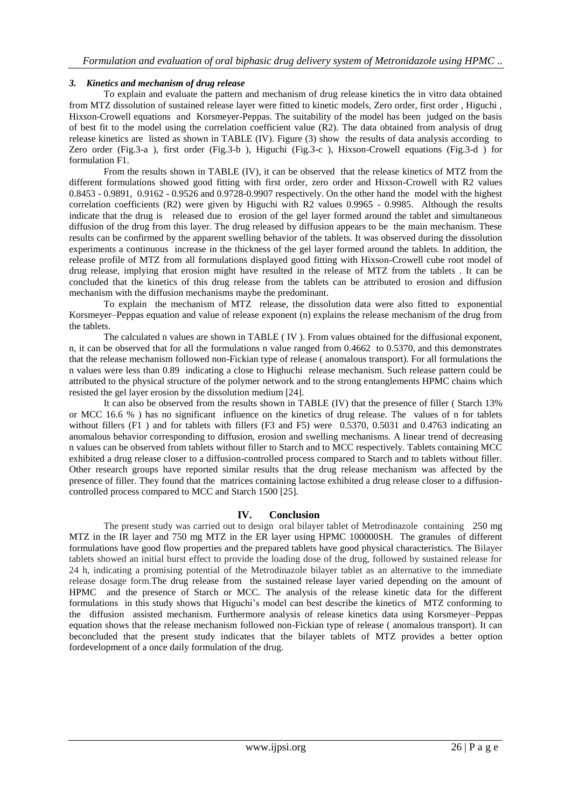# *3. Kinetics and mechanism of drug release*

To explain and evaluate the pattern and mechanism of drug release kinetics the in vitro data obtained from MTZ dissolution of sustained release layer were fitted to kinetic models, Zero order, first order , Higuchi , Hixson-Crowell equations and Korsmeyer-Peppas. The suitability of the model has been judged on the basis of best fit to the model using the correlation coefficient value (R2). The data obtained from analysis of drug release kinetics are listed as shown in TABLE (IV). Figure (3) show the results of data analysis according to Zero order (Fig.3-a ), first order (Fig.3-b ), Higuchi (Fig.3-c ), Hixson-Crowell equations (Fig.3-d ) for formulation F1.

From the results shown in TABLE (IV), it can be observed that the release kinetics of MTZ from the different formulations showed good fitting with first order, zero order and Hixson-Crowell with R2 values 0.8453 - 0.9891, 0.9162 - 0.9526 and 0.9728-0.9907 respectively. On the other hand the model with the highest correlation coefficients (R2) were given by Higuchi with R2 values 0.9965 - 0.9985. Although the results indicate that the drug is released due to erosion of the gel layer formed around the tablet and simultaneous diffusion of the drug from this layer. The drug released by diffusion appears to be the main mechanism. These results can be confirmed by the apparent swelling behavior of the tablets. It was observed during the dissolution experiments a continuous increase in the thickness of the gel layer formed around the tablets. In addition, the release profile of MTZ from all formulations displayed good fitting with Hixson-Crowell cube root model of drug release, implying that erosion might have resulted in the release of MTZ from the tablets . It can be concluded that the kinetics of this drug release from the tablets can be attributed to erosion and diffusion mechanism with the diffusion mechanisms maybe the predominant.

To explain the mechanism of MTZ release, the dissolution data were also fitted to exponential Korsmeyer–Peppas equation and value of release exponent (n) explains the release mechanism of the drug from the tablets.

The calculated n values are shown in TABLE ( IV ). From values obtained for the diffusional exponent, n, it can be observed that for all the formulations n value ranged from 0.4662 to 0.5370, and this demonstrates that the release mechanism followed non-Fickian type of release ( anomalous transport). For all formulations the n values were less than 0.89 indicating a close to Highuchi release mechanism. Such release pattern could be attributed to the physical structure of the polymer network and to the strong entanglements HPMC chains which resisted the gel layer erosion by the dissolution medium [24].

It can also be observed from the results shown in TABLE (IV) that the presence of filler ( Starch 13% or MCC 16.6 % ) has no significant influence on the kinetics of drug release. The values of n for tablets without fillers (F1) and for tablets with fillers (F3 and F5) were 0.5370, 0.5031 and 0.4763 indicating an anomalous behavior corresponding to diffusion, erosion and swelling mechanisms. A linear trend of decreasing n values can be observed from tablets without filler to Starch and to MCC respectively. Tablets containing MCC exhibited a drug release closer to a diffusion-controlled process compared to Starch and to tablets without filler. Other research groups have reported similar results that the drug release mechanism was affected by the presence of filler. They found that the matrices containing lactose exhibited a drug release closer to a diffusioncontrolled process compared to MCC and Starch 1500 [25].

# **IV. Conclusion**

The present study was carried out to design oral bilayer tablet of Metrodinazole containing 250 mg MTZ in the IR layer and 750 mg MTZ in the ER layer using HPMC 100000SH. The granules of different formulations have good flow properties and the prepared tablets have good physical characteristics. The Bilayer tablets showed an initial burst effect to provide the loading dose of the drug, followed by sustained release for 24 h, indicating a promising potential of the Metrodinazole bilayer tablet as an alternative to the immediate release dosage form.The drug release from the sustained release layer varied depending on the amount of HPMC and the presence of Starch or MCC. The analysis of the release kinetic data for the different formulations in this study shows that Higuchi's model can best describe the kinetics of MTZ conforming to the diffusion assisted mechanism. Furthermore analysis of release kinetics data using Korsmeyer–Peppas equation shows that the release mechanism followed non-Fickian type of release ( anomalous transport). It can beconcluded that the present study indicates that the bilayer tablets of MTZ provides a better option fordevelopment of a once daily formulation of the drug.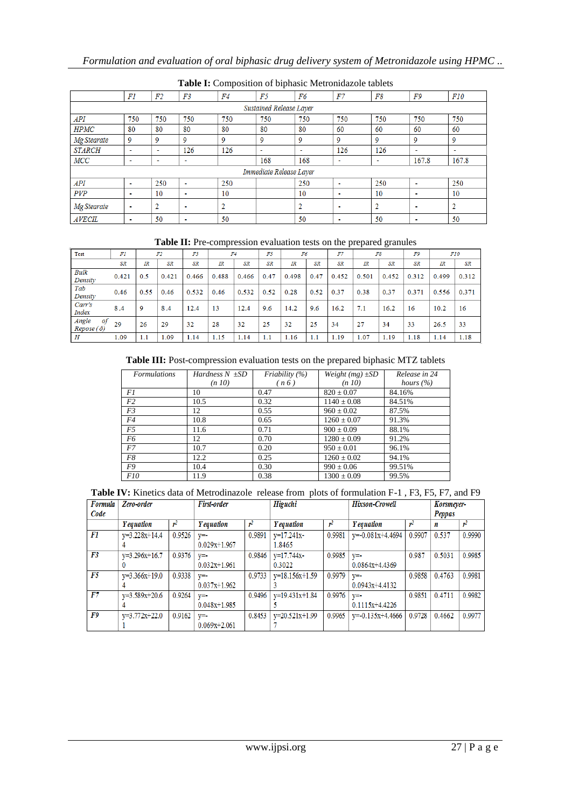| <b>Lable 1.</b> Composition of orphasic including about tablets |                |                |                |        |                         |                |                          |                    |                          |                          |
|-----------------------------------------------------------------|----------------|----------------|----------------|--------|-------------------------|----------------|--------------------------|--------------------|--------------------------|--------------------------|
|                                                                 | FI             | F <sub>2</sub> | F3             | F4     | F5                      | F6             | F7                       | F8                 | F9                       | F10                      |
| Sustained Release Layer                                         |                |                |                |        |                         |                |                          |                    |                          |                          |
| API                                                             | 750            | 750            | 750            | 750    | 750                     | 750            | 750                      | 750                | 750                      | 750                      |
| <b>HPMC</b>                                                     | 80             | 80             | 80             | 80     | 80                      | 80             | 60                       | 60                 | 60                       | 60                       |
| Mg Stearate                                                     | 9              | 9              | 9              | 9      | 9                       | 9              | 9                        | 9                  | 9                        | 9                        |
| <b>STARCH</b>                                                   | $\blacksquare$ | $\mathbf{r}$   | 126            | 126    | $\blacksquare$          | $\blacksquare$ | 126                      | 126                | $\blacksquare$           | $\overline{\phantom{a}}$ |
| MCC                                                             | $\blacksquare$ |                | $\blacksquare$ |        | 168                     | 168            | ٠                        | ٠                  | 167.8                    | 167.8                    |
|                                                                 |                |                |                |        | Immediate Release Layer |                |                          |                    |                          |                          |
| <b>API</b>                                                      | ٠              | 250            |                | 250    |                         | 250            | $\blacksquare$           | 250                | $\blacksquare$           | 250                      |
| PVP                                                             | $\blacksquare$ | 10             | $\blacksquare$ | 10     |                         | 10             | $\blacksquare$           | 10                 | $\blacksquare$           | 10                       |
| Mg Stearate                                                     | $\blacksquare$ |                |                | o<br>∠ |                         | o<br>∠         | $\blacksquare$           | $\mathcal{D}$<br>∸ | $\blacksquare$           | 2                        |
| <b>AVECIL</b>                                                   | ۰              | 50             |                | 50     |                         | 50             | $\overline{\phantom{a}}$ | 50                 | $\overline{\phantom{a}}$ | 50                       |

# **Table I:** Composition of biphasic Metronidazole tablets

#### **Table II:** Pre-compression evaluation tests on the prepared granules

| Test                            | Fl        |      | F2    | F3        |       | F4        | F5        | F6    |      | F7        |       | F8    | F9        |       | F10       |
|---------------------------------|-----------|------|-------|-----------|-------|-----------|-----------|-------|------|-----------|-------|-------|-----------|-------|-----------|
|                                 | <b>SR</b> | IR   | SR.   | <b>SR</b> | IR    | <b>SR</b> | <b>SR</b> | IR    | SR   | <b>SR</b> | IR    | SR.   | <b>SR</b> | IR    | <b>SR</b> |
| <b>Bulk</b><br>Density          | 0.421     | 0.5  | 0.421 | 0.466     | 0.488 | 0.466     | 0.47      | 0.498 | 0.47 | 0.452     | 0.501 | 0.452 | 0.312     | 0.499 | 0.312     |
| Tab<br>Density                  | 0.46      | 0.55 | 0.46  | 0.532     | 0.46  | 0.532     | 0.52      | 0.28  | 0.52 | 0.37      | 0.38  | 0.37  | 0.371     | 0.556 | 0.371     |
| Carr's<br><b>Index</b>          | 8.4       | 9    | 8.4   | 12.4      | 13    | 12.4      | 9.6       | 14.2  | 9.6  | 16.2      | 7.1   | 16.2  | 16        | 10.2  | 16        |
| Angle<br>of<br>$Repose(\delta)$ | 29        | 26   | 29    | 32        | 28    | 32        | 25        | 32    | 25   | 34        | 27    | 34    | 33        | 26.5  | 33        |
| H                               | 1.09      | 1.1  | 1.09  | 1.14      | 1.15  | 1.14      | 1.1       | 1.16  | 1.1  | 1.19      | 1.07  | 1.19  | 1.18      | 1.14  | 1.18      |

# **Table III:** Post-compression evaluation tests on the prepared biphasic MTZ tablets

| <b>Formulations</b> | Hardness $N \pm SD$ | Friability $(\%)$ | Weight $(mg) \pm SD$ | Release in 24 |
|---------------------|---------------------|-------------------|----------------------|---------------|
|                     | (n 10)              | (n6)              | (n 10)               | hours $(\% )$ |
| F1                  | 10                  | 0.47              | $820 \pm 0.07$       | 84.16%        |
| F2                  | 10.5                | 0.32              | $1140 \pm 0.08$      | 84.51%        |
| F3                  | 12                  | 0.55              | $960 \pm 0.02$       | 87.5%         |
| F4                  | 10.8                | 0.65              | $1260 \pm 0.07$      | 91.3%         |
| F5                  | 11.6                | 0.71              | $900 \pm 0.09$       | 88.1%         |
| F6                  | 12                  | 0.70              | $1280 \pm 0.09$      | 91.2%         |
| F7                  | 10.7                | 0.20              | $950 \pm 0.01$       | 96.1%         |
| F8                  | 12.2                | 0.25              | $1260 \pm 0.02$      | 94.1%         |
| F9                  | 10.4                | 0.30              | $990 \pm 0.06$       | 99.51%        |
| <i>F10</i>          | 11.9                | 0.38              | $1300 \pm 0.09$      | 99.5%         |

| Table IV: Kinetics data of Metrodinazole release from plots of formulation F-1, F3, F5, F7, and F9 |  |
|----------------------------------------------------------------------------------------------------|--|
|----------------------------------------------------------------------------------------------------|--|

| Formula | Zero-order        |        | First-order       |        | <b>Higuchi</b>    |        | <b>Hixson-Crowell</b> |                | Korsmeyer- |        |
|---------|-------------------|--------|-------------------|--------|-------------------|--------|-----------------------|----------------|------------|--------|
| Code    |                   |        |                   |        |                   |        |                       |                | Peppas     |        |
|         | <i>Y</i> equation | r      | <b>Y</b> equation | ψl     | <b>Y</b> equation | r      | <b>Y</b> equation     | r <sup>1</sup> | n          |        |
| F1      | $v=3.228x+14.4$   | 0.9526 | $V = -$           | 0.9891 | $y=17.241x$       | 0.9981 | $v = 0.081x+4.4694$   | 0.9907         | 0.537      | 0.9990 |
|         |                   |        | $0.029x+1.967$    |        | 1.8465            |        |                       |                |            |        |
| F3      | $v=3.296x+16.7$   | 0.9376 | $V = -$           | 0.9846 | $y=17.744x-$      | 0.9985 | $V = -$               | 0.987          | 0.5031     | 0.9985 |
|         |                   |        | $0.032x+1.961$    |        | 0.3022            |        | $0.0864x+4.4369$      |                |            |        |
| F5      | $v=3.366x+19.0$   | 0.9338 | $V = -$           | 0.9733 | $v=18.156x+1.59$  | 0.9979 | $V = -$               | 0.9858         | 0.4763     | 0.9981 |
|         |                   |        | $0.037x+1.962$    |        |                   |        | $0.0943x+4.4132$      |                |            |        |
| F7      | $y=3.589x+20.6$   | 0.9264 | $V = -$           | 0.9496 | $v=19.431x+1.84$  | 0.9976 | $V = -$               | 0.9851         | 0.4711     | 0.9982 |
|         |                   |        | $0.048x + 1.985$  |        |                   |        | $0.1115x+4.4226$      |                |            |        |
| F9      | $y=3.772x+22.0$   | 0.9162 | $V = -$           | 0.8453 | $v=20.521x+1.99$  | 0.9965 | $y=0.135x+4.4666$     | 0.9728         | 0.4662     | 0.9977 |
|         |                   |        | $0.069x + 2.061$  |        |                   |        |                       |                |            |        |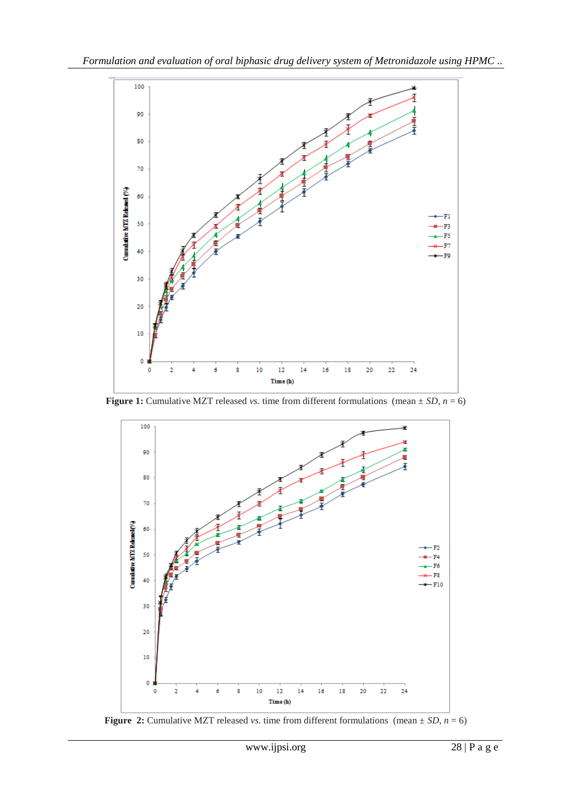

**Figure 1:** Cumulative MZT released *vs.* time from different formulations (mean  $\pm SD$ ,  $n = 6$ )



**Figure 2:** Cumulative MZT released *vs.* time from different formulations (mean  $\pm SD$ ,  $n = 6$ )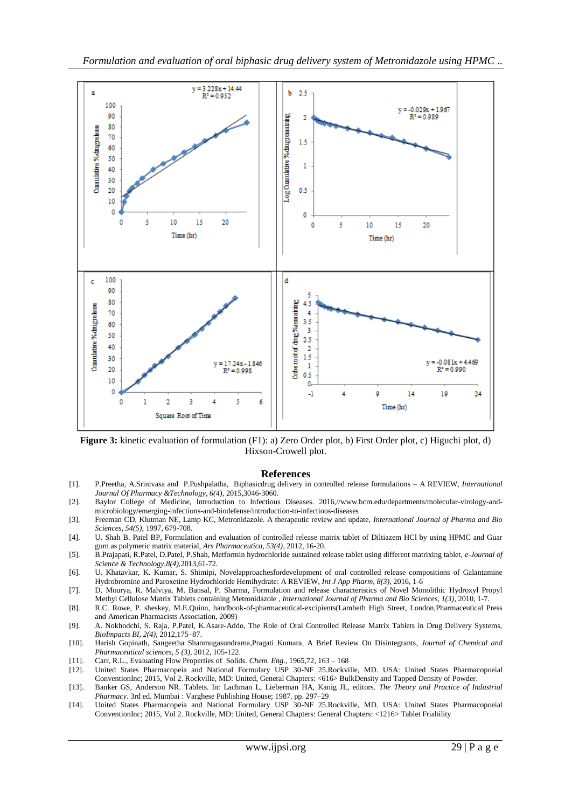

**Figure 3:** kinetic evaluation of formulation (F1): a) Zero Order plot, b) First Order plot, c) Higuchi plot, d) Hixson-Crowell plot.

#### **References**

- [1]. P.Preetha, A.Srinivasa and P.Pushpalatha, Biphasicdrug delivery in controlled release formulations A REVIEW, *International Journal Of Pharmacy &Technology, 6(4),* 2015*,*3046-3060.
- [2]. Baylor College of Medicine, Introduction to Infectious Diseases. 2016,//www.bcm.edu/departments/molecular-virology-andmicrobiology/emerging-infections-and-biodefense/introduction-to-infectious-diseases
- [3]. Freeman CD, Klutman NE, Lamp KC, Metronidazole. A therapeutic review and update, *International Journal of Pharma and Bio Sciences, 54(5),* 1997, 679-708.
- [4]. U. Shah B. Patel BP, Formulation and evaluation of controlled release matrix tablet of Diltiazem HCl by using HPMC and Guar gum as polymeric matrix material, *Ars Pharmaceutica, 53(4)*, 2012, 16-20.
- [5]. B.Prajapati, R.Patel, D.Patel, P.Shah, Metformin hydrochloride sustained release tablet using different matrixing tablet, *e-Journal of Science & Technology,8(4),*2013,61-72*.*
- [6]. U. Khatavkar, K. Kumar, S. Shimipi, Novelapproachesfordevelopment of oral controlled release compositions of Galantamine Hydrobromine and Paroxetine Hydrochloride Hemihydrate: A REVIEW, *Int J App Pharm, 8(3)*, 2016, 1-6
- [7]. D. Mourya, R. Malviya, M. Bansal, P. Sharma, Formulation and release characteristics of Novel Monolithic Hydroxyl Propyl Methyl Cellulose Matrix Tablets containing Metronidazole , *International Journal of Pharma and Bio Sciences, 1(3)*, 2010, 1-7.
- [8]. R.C. Rowe, P. sheskey, M.E.Quinn, handbook-of-pharmaceutical-excipients(Lambeth High Street, London,Pharmaceutical Press and American Pharmacists Association, 2009)
- [9]. A. Nokhodchi, S. Raja, P.Patel, K.Asare-Addo, The Role of Oral Controlled Release Matrix Tablets in Drug Delivery Systems, *BioImpacts BI, 2(4),* 2012,175–87.
- [10]. Harish Gopinath, Sangeetha Shanmugasundrama,Pragati Kumara, A Brief Review On Disintegrants, *Journal of Chemical and Pharmaceutical sciences, 5 (3)*, 2012, 105-122.
- [11]. Carr, R.L., Evaluating Flow Properties of Solids. *Chem. Eng*., 1965,72, 163 168
- [12]. United States Pharmacopeia and National Formulary USP 30-NF 25.Rockville, MD. USA: United States Pharmacopoeial ConventionInc; 2015, Vol 2. Rockville, MD: United, General Chapters: <616> BulkDensity and Tapped Density of Powder.
- [13]. Banker GS, Anderson NR. Tablets. In: Lachman L, Lieberman HA, Kanig JL, editors. *The Theory and Practice of Industrial Pharmacy*. 3rd ed. Mumbai : Varghese Publishing House; 1987. pp. 297–29
- [14]. United States Pharmacopeia and National Formulary USP 30-NF 25.Rockville, MD. USA: United States Pharmacopoeial ConventionInc; 2015, Vol 2. Rockville, MD: United, General Chapters: General Chapters: <1216> Tablet Friability